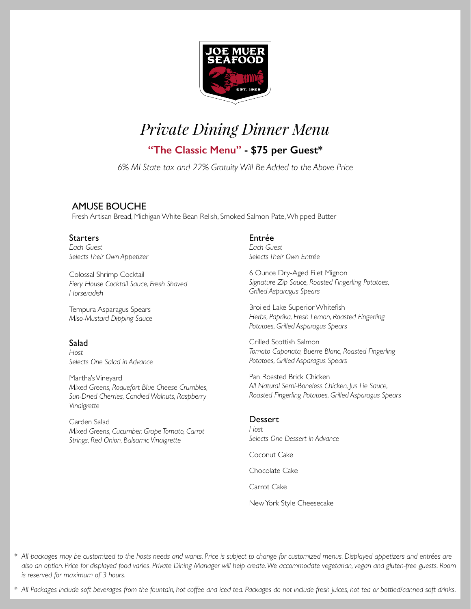

## **"The Classic Menu" - \$75 per Guest\***

*6% MI State tax and 22% Gratuity Will Be Added to the Above Price*

## AMUSE BOUCHE

Fresh Artisan Bread, Michigan White Bean Relish, Smoked Salmon Pate, Whipped Butter

## **Starters**

*Each Guest Selects Their Own Appetizer*

Colossal Shrimp Cocktail *Fiery House Cocktail Sauce, Fresh Shaved Horseradish*

Tempura Asparagus Spears *Miso-Mustard Dipping Sauce*

### **Salad**

*Host Selects One Salad in Advance*

Martha's Vineyard *Mixed Greens, Roquefort Blue Cheese Crumbles, Sun-Dried Cherries, Candied Walnuts, Raspberry Vinaigrette*

Garden Salad *Mixed Greens, Cucumber, Grape Tomato, Carrot Strings, Red Onion, Balsamic Vinaigrette*

## Entrée

*Each Guest Selects Their Own Entrée* 

6 Ounce Dry-Aged Filet Mignon *Signature Zip Sauce, Roasted Fingerling Potatoes, Grilled Asparagus Spears*

Broiled Lake Superior Whitefish *Herbs, Paprika, Fresh Lemon, Roasted Fingerling Potatoes, Grilled Asparagus Spears*

Grilled Scottish Salmon *Tomato Caponata, Buerre Blanc, Roasted Fingerling Potatoes, Grilled Asparagus Spears*

Pan Roasted Brick Chicken *All Natural Semi-Boneless Chicken, Jus Lie Sauce, Roasted Fingerling Potatoes, Grilled Asparagus Spears*

#### **Dessert**

*Host Selects One Dessert in Advance*

Coconut Cake

Chocolate Cake

Carrot Cake

New York Style Cheesecake

*\* All packages may be customized to the hosts needs and wants. Price is subject to change for customized menus. Displayed appetizers and entrées are also an option. Price for displayed food varies. Private Dining Manager will help create. We accommodate vegetarian, vegan and gluten-free guests. Room is reserved for maximum of 3 hours.*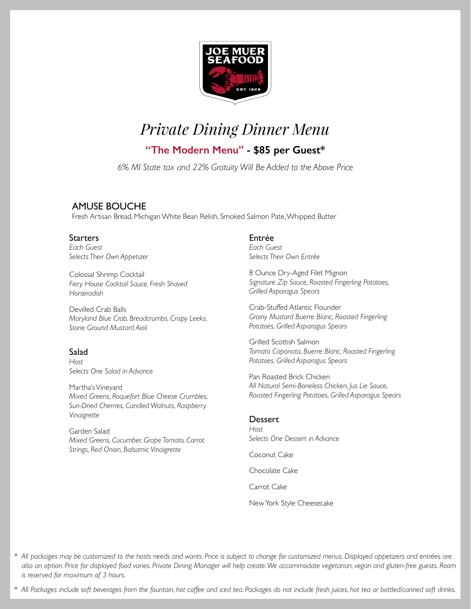

**"The Modern Menu" - \$85 per Guest\*** 

*6% MI State tax and 22% Gratuity Will Be Added to the Above Price*

## AMUSE BOUCHE

Fresh Artisan Bread, Michigan White Bean Relish, Smoked Salmon Pate, Whipped Butter

## **Starters**

*Each Guest Selects Their Own Appetizer*

Colossal Shrimp Cocktail *Fiery House Cocktail Sauce, Fresh Shaved Horseradish*

Devilled Crab Balls *Maryland Blue Crab, Breadcrumbs, Crispy Leeks, Stone Ground Mustard Aioli*

### **Salad**

*Host Selects One Salad in Advance*

Martha's Vineyard *Mixed Greens, Roquefort Blue Cheese Crumbles, Sun-Dried Cherries, Candied Walnuts, Raspberry Vinaigrette*

Garden Salad *Mixed Greens, Cucumber, Grape Tomato, Carrot Strings, Red Onion, Balsamic Vinaigrette*

## Entrée

*Each Guest Selects Their Own Entrée* 

8 Ounce Dry-Aged Filet Mignon *Signature Zip Sauce, Roasted Fingerling Potatoes, Grilled Asparagus Spears*

Crab-Stuffed Atlantic Flounder *Grainy Mustard Buerre Blanc, Roasted Fingerling Potatoes, Grilled Asparagus Spears* 

Grilled Scottish Salmon *Tomato Caponata, Buerre Blanc, Roasted Fingerling Potatoes, Grilled Asparagus Spears*

Pan Roasted Brick Chicken *All Natural Semi-Boneless Chicken, Jus Lie Sauce, Roasted Fingerling Potatoes, Grilled Asparagus Spears*

### **Dessert**

*Host Selects One Dessert in Advance*

Coconut Cake

Chocolate Cake

Carrot Cake

New York Style Cheesecake

*\* All packages may be customized to the hosts needs and wants. Price is subject to change for customized menus. Displayed appetizers and entrées are also an option. Price for displayed food varies. Private Dining Manager will help create. We accommodate vegetarian, vegan and gluten-free guests. Room is reserved for maximum of 3 hours.*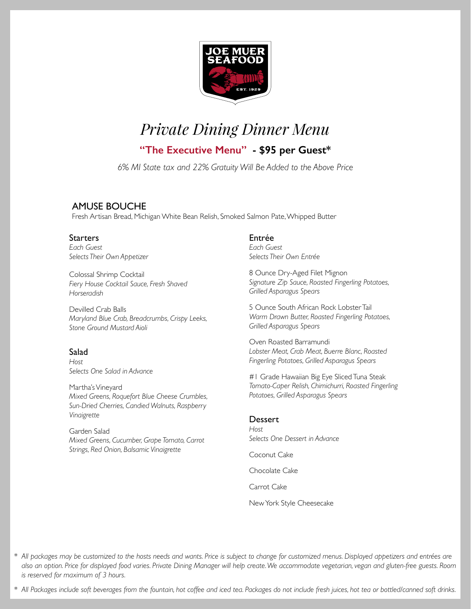

**"The Executive Menu" - \$95 per Guest\*** 

*6% MI State tax and 22% Gratuity Will Be Added to the Above Price*

## AMUSE BOUCHE

Fresh Artisan Bread, Michigan White Bean Relish, Smoked Salmon Pate, Whipped Butter

## **Starters**

*Each Guest Selects Their Own Appetizer*

Colossal Shrimp Cocktail *Fiery House Cocktail Sauce, Fresh Shaved Horseradish*

Devilled Crab Balls *Maryland Blue Crab, Breadcrumbs, Crispy Leeks, Stone Ground Mustard Aioli*

### Salad

*Host Selects One Salad in Advance*

Martha's Vineyard *Mixed Greens, Roquefort Blue Cheese Crumbles, Sun-Dried Cherries, Candied Walnuts, Raspberry Vinaigrette*

Garden Salad *Mixed Greens, Cucumber, Grape Tomato, Carrot Strings, Red Onion, Balsamic Vinaigrette*

## Entrée

*Each Guest Selects Their Own Entrée* 

8 Ounce Dry-Aged Filet Mignon *Signature Zip Sauce, Roasted Fingerling Potatoes, Grilled Asparagus Spears*

5 Ounce South African Rock Lobster Tail *Warm Drawn Butter, Roasted Fingerling Potatoes, Grilled Asparagus Spears* 

Oven Roasted Barramundi *Lobster Meat, Crab Meat, Buerre Blanc, Roasted Fingerling Potatoes, Grilled Asparagus Spears*

#1 Grade Hawaiian Big Eye Sliced Tuna Steak *Tomato-Caper Relish, Chimichurri, Roasted Fingerling Potatoes, Grilled Asparagus Spears*

### **Dessert**

*Host Selects One Dessert in Advance*

Coconut Cake

Chocolate Cake

Carrot Cake

New York Style Cheesecake

*\* All packages may be customized to the hosts needs and wants. Price is subject to change for customized menus. Displayed appetizers and entrées are also an option. Price for displayed food varies. Private Dining Manager will help create. We accommodate vegetarian, vegan and gluten-free guests. Room is reserved for maximum of 3 hours.*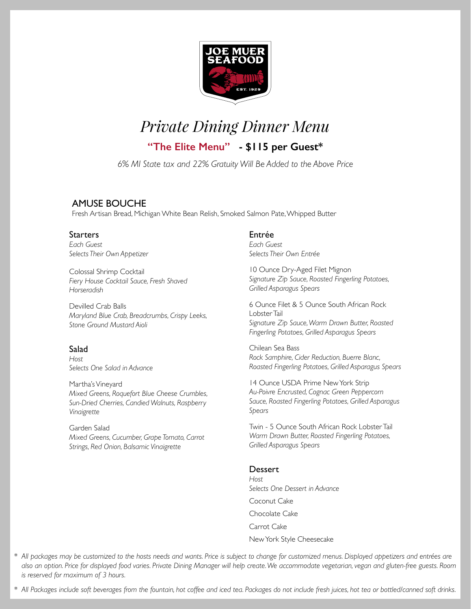

**"The Elite Menu" - \$115 per Guest\*** 

*6% MI State tax and 22% Gratuity Will Be Added to the Above Price*

## AMUSE BOUCHE

Fresh Artisan Bread, Michigan White Bean Relish, Smoked Salmon Pate, Whipped Butter

## **Starters**

*Each Guest Selects Their Own Appetizer*

Colossal Shrimp Cocktail *Fiery House Cocktail Sauce, Fresh Shaved Horseradish*

Devilled Crab Balls *Maryland Blue Crab, Breadcrumbs, Crispy Leeks, Stone Ground Mustard Aioli*

### Salad

*Host Selects One Salad in Advance*

Martha's Vineyard *Mixed Greens, Roquefort Blue Cheese Crumbles, Sun-Dried Cherries, Candied Walnuts, Raspberry Vinaigrette*

Garden Salad *Mixed Greens, Cucumber, Grape Tomato, Carrot Strings, Red Onion, Balsamic Vinaigrette*

## Entrée

*Each Guest Selects Their Own Entrée* 

10 Ounce Dry-Aged Filet Mignon *Signature Zip Sauce, Roasted Fingerling Potatoes, Grilled Asparagus Spears*

6 Ounce Filet & 5 Ounce South African Rock Lobster Tail *Signature Zip Sauce, Warm Drawn Butter, Roasted Fingerling Potatoes, Grilled Asparagus Spears* 

Chilean Sea Bass *Rock Samphire, Cider Reduction, Buerre Blanc, Roasted Fingerling Potatoes, Grilled Asparagus Spears*

14 Ounce USDA Prime New York Strip *Au-Poivre Encrusted, Cognac Green Peppercorn Sauce, Roasted Fingerling Potatoes, Grilled Asparagus Spears*

Twin - 5 Ounce South African Rock Lobster Tail *Warm Drawn Butter, Roasted Fingerling Potatoes, Grilled Asparagus Spears*

## Dessert

*Host Selects One Dessert in Advance* Coconut Cake Chocolate Cake Carrot Cake New York Style Cheesecake

*\* All packages may be customized to the hosts needs and wants. Price is subject to change for customized menus. Displayed appetizers and entrées are also an option. Price for displayed food varies. Private Dining Manager will help create. We accommodate vegetarian, vegan and gluten-free guests. Room is reserved for maximum of 3 hours.*